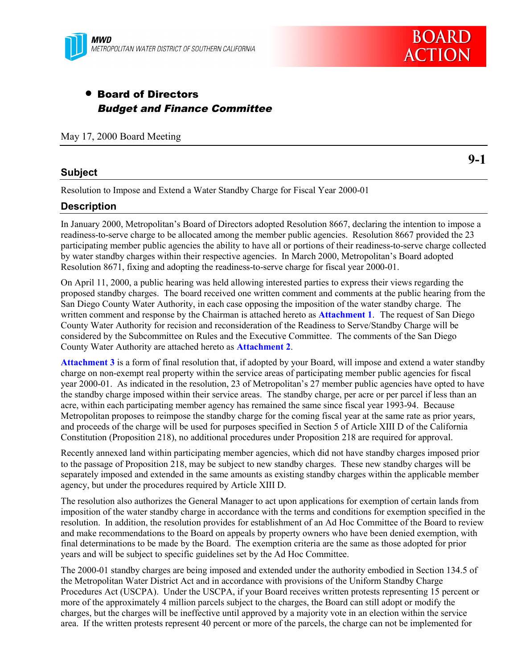

# • Board of Directors Budget and Finance Committee

May 17, 2000 Board Meeting

# **Subject**

**9-1**

Resolution to Impose and Extend a Water Standby Charge for Fiscal Year 2000-01

# **Description**

In January 2000, Metropolitan's Board of Directors adopted Resolution 8667, declaring the intention to impose a readiness-to-serve charge to be allocated among the member public agencies. Resolution 8667 provided the 23 participating member public agencies the ability to have all or portions of their readiness-to-serve charge collected by water standby charges within their respective agencies. In March 2000, Metropolitan's Board adopted Resolution 8671, fixing and adopting the readiness-to-serve charge for fiscal year 2000-01.

On April 11, 2000, a public hearing was held allowing interested parties to express their views regarding the proposed standby charges. The board received one written comment and comments at the public hearing from the San Diego County Water Authority, in each case opposing the imposition of the water standby charge. The written comment and response by the Chairman is attached hereto as **Attachment 1**. The request of San Diego County Water Authority for recision and reconsideration of the Readiness to Serve/Standby Charge will be considered by the Subcommittee on Rules and the Executive Committee. The comments of the San Diego County Water Authority are attached hereto as **Attachment 2**.

**Attachment 3** is a form of final resolution that, if adopted by your Board, will impose and extend a water standby charge on non-exempt real property within the service areas of participating member public agencies for fiscal year 2000-01. As indicated in the resolution, 23 of Metropolitan's 27 member public agencies have opted to have the standby charge imposed within their service areas. The standby charge, per acre or per parcel if less than an acre, within each participating member agency has remained the same since fiscal year 1993-94. Because Metropolitan proposes to reimpose the standby charge for the coming fiscal year at the same rate as prior years, and proceeds of the charge will be used for purposes specified in Section 5 of Article XIII D of the California Constitution (Proposition 218), no additional procedures under Proposition 218 are required for approval.

Recently annexed land within participating member agencies, which did not have standby charges imposed prior to the passage of Proposition 218, may be subject to new standby charges. These new standby charges will be separately imposed and extended in the same amounts as existing standby charges within the applicable member agency, but under the procedures required by Article XIII D.

The resolution also authorizes the General Manager to act upon applications for exemption of certain lands from imposition of the water standby charge in accordance with the terms and conditions for exemption specified in the resolution. In addition, the resolution provides for establishment of an Ad Hoc Committee of the Board to review and make recommendations to the Board on appeals by property owners who have been denied exemption, with final determinations to be made by the Board. The exemption criteria are the same as those adopted for prior years and will be subject to specific guidelines set by the Ad Hoc Committee.

The 2000-01 standby charges are being imposed and extended under the authority embodied in Section 134.5 of the Metropolitan Water District Act and in accordance with provisions of the Uniform Standby Charge Procedures Act (USCPA). Under the USCPA, if your Board receives written protests representing 15 percent or more of the approximately 4 million parcels subject to the charges, the Board can still adopt or modify the charges, but the charges will be ineffective until approved by a majority vote in an election within the service area. If the written protests represent 40 percent or more of the parcels, the charge can not be implemented for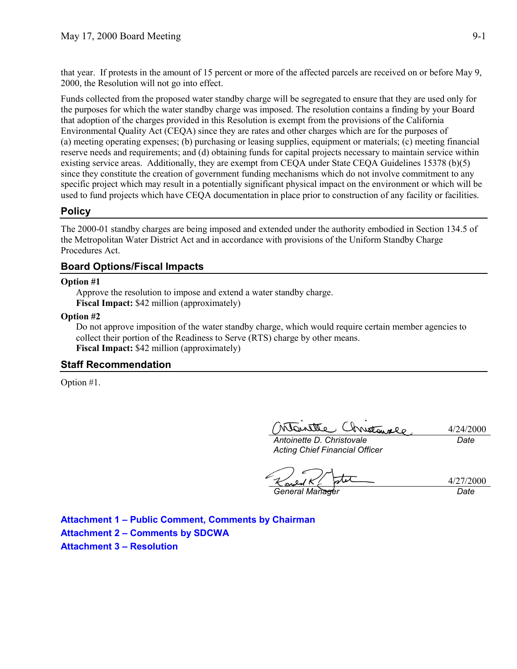that year. If protests in the amount of 15 percent or more of the affected parcels are received on or before May 9, 2000, the Resolution will not go into effect.

Funds collected from the proposed water standby charge will be segregated to ensure that they are used only for the purposes for which the water standby charge was imposed. The resolution contains a finding by your Board that adoption of the charges provided in this Resolution is exempt from the provisions of the California Environmental Quality Act (CEQA) since they are rates and other charges which are for the purposes of (a) meeting operating expenses; (b) purchasing or leasing supplies, equipment or materials; (c) meeting financial reserve needs and requirements; and (d) obtaining funds for capital projects necessary to maintain service within existing service areas. Additionally, they are exempt from CEQA under State CEQA Guidelines 15378 (b)(5) since they constitute the creation of government funding mechanisms which do not involve commitment to any specific project which may result in a potentially significant physical impact on the environment or which will be used to fund projects which have CEQA documentation in place prior to construction of any facility or facilities.

# **Policy**

The 2000-01 standby charges are being imposed and extended under the authority embodied in Section 134.5 of the Metropolitan Water District Act and in accordance with provisions of the Uniform Standby Charge Procedures Act.

# **Board Options/Fiscal Impacts**

#### **Option #1**

Approve the resolution to impose and extend a water standby charge. **Fiscal Impact:** \$42 million (approximately)

#### **Option #2**

Do not approve imposition of the water standby charge, which would require certain member agencies to collect their portion of the Readiness to Serve (RTS) charge by other means. **Fiscal Impact:** \$42 million (approximately)

#### **Staff Recommendation**

Option #1.

Christanne Wartte

4/24/2000

*Antoinette D. Christovale Acting Chief Financial Officer*

*Date*

*General Manager Date*

4/27/2000

**Attachment 1 – Public Comment, Comments by Chairman Attachment 2 – Comments by SDCWA Attachment 3 – Resolution**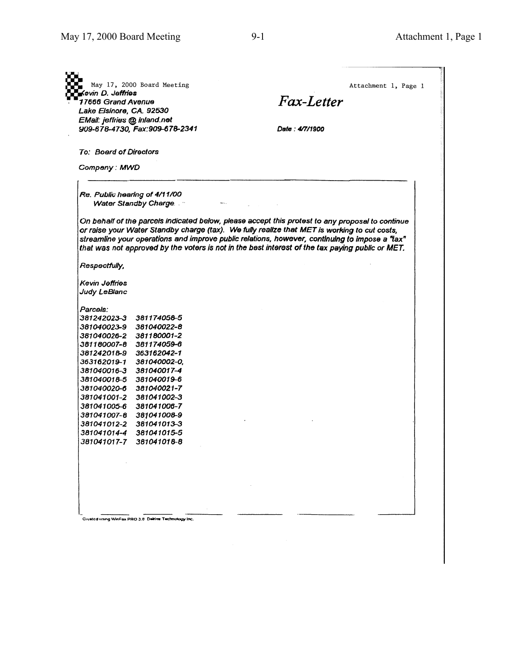| (evin D. Jeffries<br>17666 Grand Avenue |                                                                                                  | <i>Fax-Letter</i> |  |  |
|-----------------------------------------|--------------------------------------------------------------------------------------------------|-------------------|--|--|
| Lake Elsinore, CA. 92530                |                                                                                                  |                   |  |  |
| EMail: jeffries @ inland.net            |                                                                                                  |                   |  |  |
|                                         | 909-678-4730, Fax:909-678-2341                                                                   | Date: 4/7/1900    |  |  |
|                                         |                                                                                                  |                   |  |  |
| To: Boerd of Directors                  |                                                                                                  |                   |  |  |
| Company: MWD                            |                                                                                                  |                   |  |  |
| Re. Public hearing of 4/11/00           |                                                                                                  |                   |  |  |
|                                         | Water Standby Charge                                                                             |                   |  |  |
|                                         | On behalf of the parcels indicated below, please accept this protest to any proposal to continue |                   |  |  |
|                                         | or raise your Water Standby charge (tax). We fully realize that MET is working to cut costs,     |                   |  |  |
|                                         | streamline your operations and improve public relations, however, continuing to impose a "tax"   |                   |  |  |
|                                         | that was not approved by the voters is not in the best interest of the tax paying public or MET. |                   |  |  |
| Respectfully,                           |                                                                                                  |                   |  |  |
| Kevin Jeffries                          |                                                                                                  |                   |  |  |
| Judy LeBlanc                            |                                                                                                  |                   |  |  |
| Parcels:                                |                                                                                                  |                   |  |  |
| 381242023-3                             | 381174058-5                                                                                      |                   |  |  |
| 381040023-9 381040022-8                 |                                                                                                  |                   |  |  |
| 381040026-2 381180001-2                 |                                                                                                  |                   |  |  |
| 381180007-8 381174059-8                 |                                                                                                  |                   |  |  |
| 381242018-9 363162042-1                 |                                                                                                  |                   |  |  |
| 363162019-1 381040002-0.                |                                                                                                  |                   |  |  |
| 381040016-3 381040017-4                 |                                                                                                  |                   |  |  |
| 381040018-5 381040019-6                 |                                                                                                  |                   |  |  |
| 381040020-6                             | 381040021-7                                                                                      |                   |  |  |
| 381041001-2 381041002-3                 |                                                                                                  |                   |  |  |
| 381041005-6 381041006-7                 |                                                                                                  |                   |  |  |
| 381041007-8 381041008-9                 |                                                                                                  |                   |  |  |
| 381041012-2 381041013-3                 |                                                                                                  |                   |  |  |
| 381041014-4 381041015-5                 |                                                                                                  |                   |  |  |
| 381041017-7 381041018-8                 |                                                                                                  |                   |  |  |
|                                         |                                                                                                  |                   |  |  |
|                                         |                                                                                                  |                   |  |  |
|                                         |                                                                                                  |                   |  |  |
|                                         |                                                                                                  |                   |  |  |
|                                         |                                                                                                  |                   |  |  |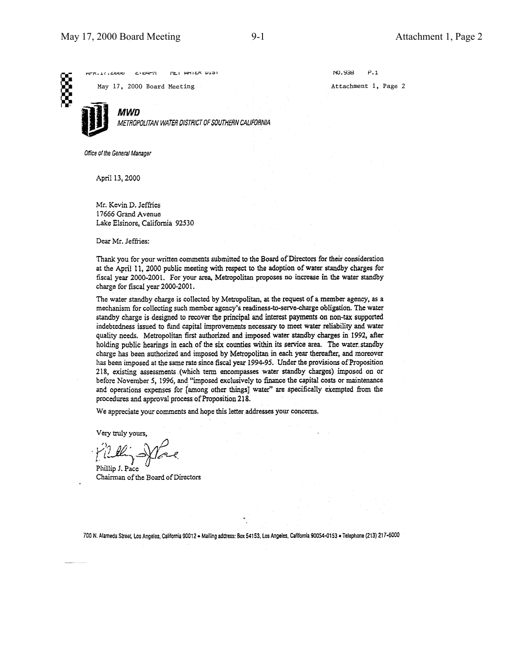

May 17, 2000 Board Meeting

 $C$   $V$  $H$  $V$  $V$ 



 $HTK, 11, 2000$ 

METROPOLITAN WATER DISTRICT OF SOUTHERN CALIFORNIA

PET WHICK ULST

Office of the General Manager

April 13, 2000

Mr. Kevin D. Jeffries 17666 Grand Avenue Lake Elsinore, California 92530

Dear Mr. Jeffries:

Thank you for your written comments submitted to the Board of Directors for their consideration at the April 11, 2000 public meeting with respect to the adoption of water standby charges for fiscal year 2000-2001. For your area, Metropolitan proposes no increase in the water standby charge for fiscal year 2000-2001.

The water standby charge is collected by Metropolitan, at the request of a member agency, as a mechanism for collecting such member agency's readiness-to-serve-charge obligation. The water standby charge is designed to recover the principal and interest payments on non-tax supported indebtedness issued to fund capital improvements necessary to meet water reliability and water quality needs. Metropolitan first authorized and imposed water standby charges in 1992, after holding public hearings in each of the six counties within its service area. The water standby charge has been authorized and imposed by Metropolitan in each year thereafter, and moreover has been imposed at the same rate since fiscal year 1994-95. Under the provisions of Proposition 218, existing assessments (which term encompasses water standby charges) imposed on or before November 5, 1996, and "imposed exclusively to finance the capital costs or maintenance and operations expenses for [among other things] water" are specifically exempted from the procedures and approval process of Proposition 218.

We appreciate your comments and hope this letter addresses your concerns.

Very truly yours,

Phillip J. Pace Chairman of the Board of Directors

700 N. Alameda Street, Los Angeles, California 90012 - Mailing address: Box 54153, Los Angeles, California 90054-0153 - Telephone (213) 217-6000

Attachment 1, Page 2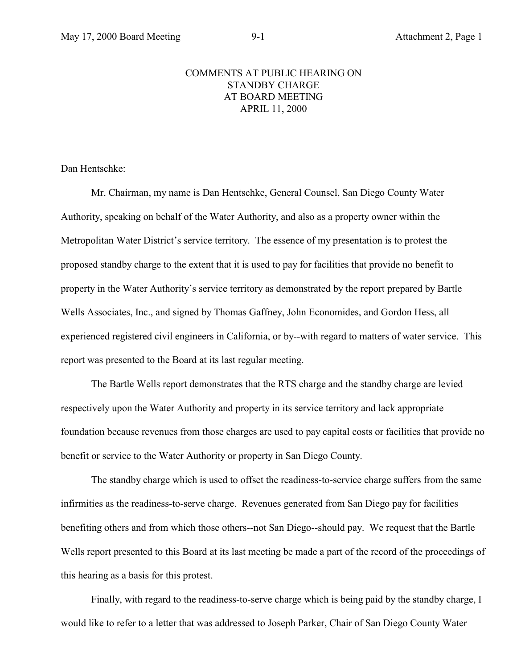#### COMMENTS AT PUBLIC HEARING ON STANDBY CHARGE AT BOARD MEETING APRIL 11, 2000

Dan Hentschke:

Mr. Chairman, my name is Dan Hentschke, General Counsel, San Diego County Water Authority, speaking on behalf of the Water Authority, and also as a property owner within the Metropolitan Water District's service territory. The essence of my presentation is to protest the proposed standby charge to the extent that it is used to pay for facilities that provide no benefit to property in the Water Authority's service territory as demonstrated by the report prepared by Bartle Wells Associates, Inc., and signed by Thomas Gaffney, John Economides, and Gordon Hess, all experienced registered civil engineers in California, or by--with regard to matters of water service. This report was presented to the Board at its last regular meeting.

The Bartle Wells report demonstrates that the RTS charge and the standby charge are levied respectively upon the Water Authority and property in its service territory and lack appropriate foundation because revenues from those charges are used to pay capital costs or facilities that provide no benefit or service to the Water Authority or property in San Diego County.

The standby charge which is used to offset the readiness-to-service charge suffers from the same infirmities as the readiness-to-serve charge. Revenues generated from San Diego pay for facilities benefiting others and from which those others--not San Diego--should pay. We request that the Bartle Wells report presented to this Board at its last meeting be made a part of the record of the proceedings of this hearing as a basis for this protest.

Finally, with regard to the readiness-to-serve charge which is being paid by the standby charge, I would like to refer to a letter that was addressed to Joseph Parker, Chair of San Diego County Water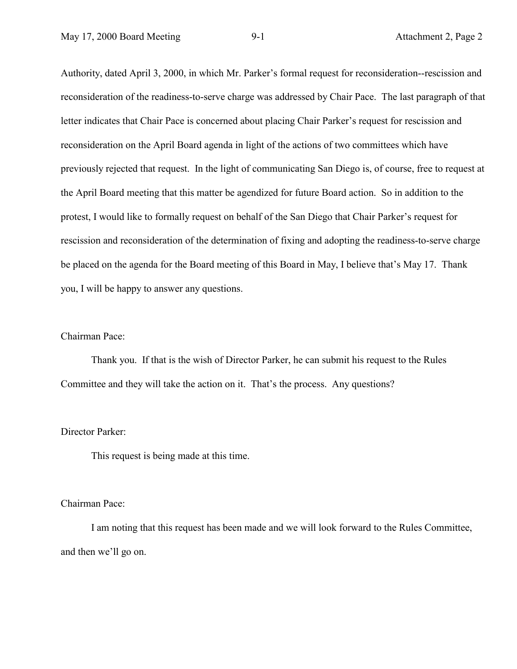Authority, dated April 3, 2000, in which Mr. Parker's formal request for reconsideration--rescission and reconsideration of the readiness-to-serve charge was addressed by Chair Pace. The last paragraph of that letter indicates that Chair Pace is concerned about placing Chair Parker's request for rescission and reconsideration on the April Board agenda in light of the actions of two committees which have previously rejected that request. In the light of communicating San Diego is, of course, free to request at the April Board meeting that this matter be agendized for future Board action. So in addition to the protest, I would like to formally request on behalf of the San Diego that Chair Parker's request for rescission and reconsideration of the determination of fixing and adopting the readiness-to-serve charge be placed on the agenda for the Board meeting of this Board in May, I believe that's May 17. Thank you, I will be happy to answer any questions.

#### Chairman Pace:

Thank you. If that is the wish of Director Parker, he can submit his request to the Rules Committee and they will take the action on it. That's the process. Any questions?

#### Director Parker:

This request is being made at this time.

#### Chairman Pace:

I am noting that this request has been made and we will look forward to the Rules Committee, and then we'll go on.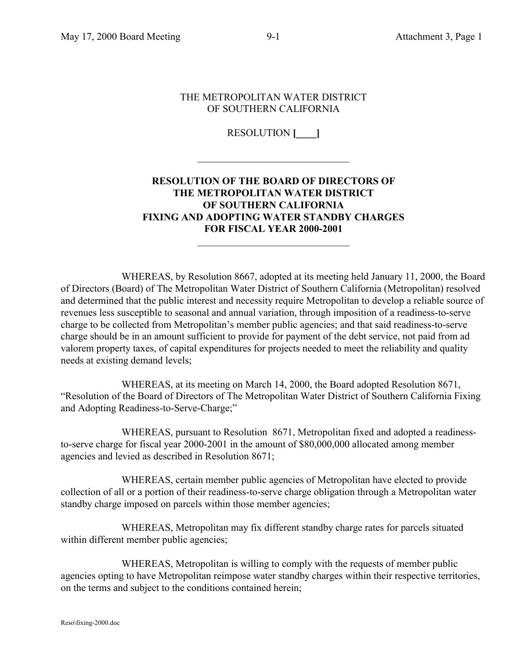#### THE METROPOLITAN WATER DISTRICT OF SOUTHERN CALIFORNIA

RESOLUTION **[\_\_\_\_]**

 $\mathcal{L}_\text{max}$  , where  $\mathcal{L}_\text{max}$  and  $\mathcal{L}_\text{max}$  and  $\mathcal{L}_\text{max}$ 

# **RESOLUTION OF THE BOARD OF DIRECTORS OF THE METROPOLITAN WATER DISTRICT OF SOUTHERN CALIFORNIA FIXING AND ADOPTING WATER STANDBY CHARGES FOR FISCAL YEAR 2000-2001**

 $\mathcal{L}_\text{max}$ 

WHEREAS, by Resolution 8667, adopted at its meeting held January 11, 2000, the Board of Directors (Board) of The Metropolitan Water District of Southern California (Metropolitan) resolved and determined that the public interest and necessity require Metropolitan to develop a reliable source of revenues less susceptible to seasonal and annual variation, through imposition of a readiness-to-serve charge to be collected from Metropolitan's member public agencies; and that said readiness-to-serve charge should be in an amount sufficient to provide for payment of the debt service, not paid from ad valorem property taxes, of capital expenditures for projects needed to meet the reliability and quality needs at existing demand levels;

WHEREAS, at its meeting on March 14, 2000, the Board adopted Resolution 8671, "Resolution of the Board of Directors of The Metropolitan Water District of Southern California Fixing and Adopting Readiness-to-Serve-Charge;"

WHEREAS, pursuant to Resolution 8671, Metropolitan fixed and adopted a readinessto-serve charge for fiscal year 2000-2001 in the amount of \$80,000,000 allocated among member agencies and levied as described in Resolution 8671;

WHEREAS, certain member public agencies of Metropolitan have elected to provide collection of all or a portion of their readiness-to-serve charge obligation through a Metropolitan water standby charge imposed on parcels within those member agencies;

WHEREAS, Metropolitan may fix different standby charge rates for parcels situated within different member public agencies:

WHEREAS, Metropolitan is willing to comply with the requests of member public agencies opting to have Metropolitan reimpose water standby charges within their respective territories, on the terms and subject to the conditions contained herein;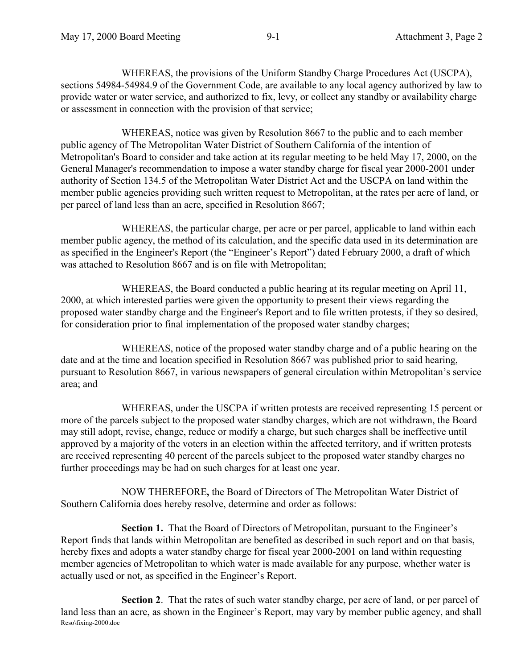WHEREAS, the provisions of the Uniform Standby Charge Procedures Act (USCPA), sections 54984-54984.9 of the Government Code, are available to any local agency authorized by law to provide water or water service, and authorized to fix, levy, or collect any standby or availability charge or assessment in connection with the provision of that service;

WHEREAS, notice was given by Resolution 8667 to the public and to each member public agency of The Metropolitan Water District of Southern California of the intention of Metropolitan's Board to consider and take action at its regular meeting to be held May 17, 2000, on the General Manager's recommendation to impose a water standby charge for fiscal year 2000-2001 under authority of Section 134.5 of the Metropolitan Water District Act and the USCPA on land within the member public agencies providing such written request to Metropolitan, at the rates per acre of land, or per parcel of land less than an acre, specified in Resolution 8667;

WHEREAS, the particular charge, per acre or per parcel, applicable to land within each member public agency, the method of its calculation, and the specific data used in its determination are as specified in the Engineer's Report (the "Engineer's Report") dated February 2000, a draft of which was attached to Resolution 8667 and is on file with Metropolitan;

WHEREAS, the Board conducted a public hearing at its regular meeting on April 11, 2000, at which interested parties were given the opportunity to present their views regarding the proposed water standby charge and the Engineer's Report and to file written protests, if they so desired, for consideration prior to final implementation of the proposed water standby charges;

WHEREAS, notice of the proposed water standby charge and of a public hearing on the date and at the time and location specified in Resolution 8667 was published prior to said hearing, pursuant to Resolution 8667, in various newspapers of general circulation within Metropolitan's service area; and

WHEREAS, under the USCPA if written protests are received representing 15 percent or more of the parcels subject to the proposed water standby charges, which are not withdrawn, the Board may still adopt, revise, change, reduce or modify a charge, but such charges shall be ineffective until approved by a majority of the voters in an election within the affected territory, and if written protests are received representing 40 percent of the parcels subject to the proposed water standby charges no further proceedings may be had on such charges for at least one year.

NOW THEREFORE**,** the Board of Directors of The Metropolitan Water District of Southern California does hereby resolve, determine and order as follows:

**Section 1.** That the Board of Directors of Metropolitan, pursuant to the Engineer's Report finds that lands within Metropolitan are benefited as described in such report and on that basis, hereby fixes and adopts a water standby charge for fiscal year 2000-2001 on land within requesting member agencies of Metropolitan to which water is made available for any purpose, whether water is actually used or not, as specified in the Engineer's Report.

Reso\fixing-2000.doc **Section 2**. That the rates of such water standby charge, per acre of land, or per parcel of land less than an acre, as shown in the Engineer's Report, may vary by member public agency, and shall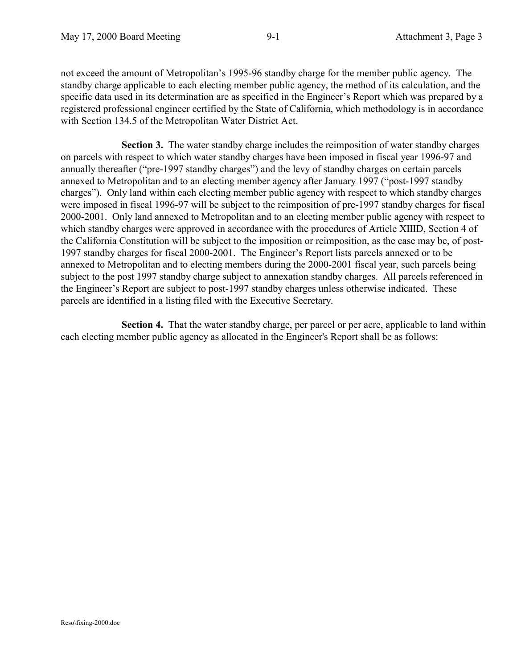not exceed the amount of Metropolitan's 1995-96 standby charge for the member public agency. The standby charge applicable to each electing member public agency, the method of its calculation, and the specific data used in its determination are as specified in the Engineer's Report which was prepared by a registered professional engineer certified by the State of California, which methodology is in accordance with Section 134.5 of the Metropolitan Water District Act.

**Section 3.** The water standby charge includes the reimposition of water standby charges on parcels with respect to which water standby charges have been imposed in fiscal year 1996-97 and annually thereafter ("pre-1997 standby charges") and the levy of standby charges on certain parcels annexed to Metropolitan and to an electing member agency after January 1997 ("post-1997 standby charges"). Only land within each electing member public agency with respect to which standby charges were imposed in fiscal 1996-97 will be subject to the reimposition of pre-1997 standby charges for fiscal 2000-2001. Only land annexed to Metropolitan and to an electing member public agency with respect to which standby charges were approved in accordance with the procedures of Article XIIID, Section 4 of the California Constitution will be subject to the imposition or reimposition, as the case may be, of post-1997 standby charges for fiscal 2000-2001. The Engineer's Report lists parcels annexed or to be annexed to Metropolitan and to electing members during the 2000-2001 fiscal year, such parcels being subject to the post 1997 standby charge subject to annexation standby charges. All parcels referenced in the Engineer's Report are subject to post-1997 standby charges unless otherwise indicated. These parcels are identified in a listing filed with the Executive Secretary.

**Section 4.** That the water standby charge, per parcel or per acre, applicable to land within each electing member public agency as allocated in the Engineer's Report shall be as follows: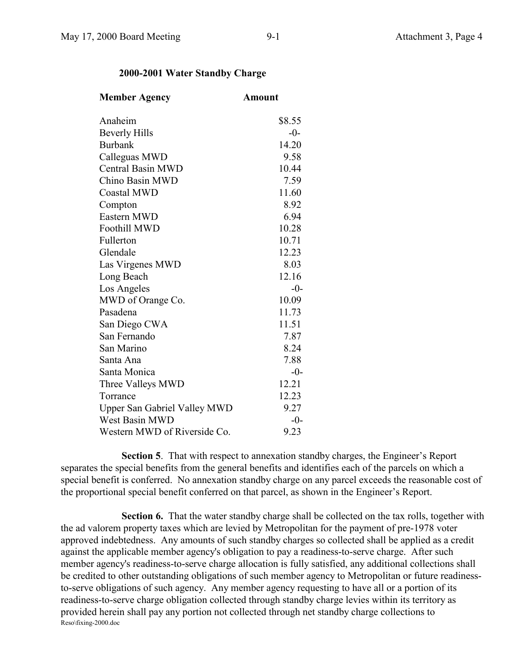#### **2000-2001 Water Standby Charge**

| <b>Member Agency</b>                | Amount |  |
|-------------------------------------|--------|--|
| Anaheim                             | \$8.55 |  |
| <b>Beverly Hills</b>                | $-0-$  |  |
| <b>Burbank</b>                      | 14.20  |  |
| Calleguas MWD                       | 9.58   |  |
| <b>Central Basin MWD</b>            | 10.44  |  |
| Chino Basin MWD                     | 7.59   |  |
| <b>Coastal MWD</b>                  | 11.60  |  |
| Compton                             | 8.92   |  |
| Eastern MWD                         | 6.94   |  |
| Foothill MWD                        | 10.28  |  |
| Fullerton                           | 10.71  |  |
| Glendale                            | 12.23  |  |
| Las Virgenes MWD                    | 8.03   |  |
| Long Beach                          | 12.16  |  |
| Los Angeles                         | $-0-$  |  |
| MWD of Orange Co.                   | 10.09  |  |
| Pasadena                            | 11.73  |  |
| San Diego CWA                       | 11.51  |  |
| San Fernando                        | 7.87   |  |
| San Marino                          | 8.24   |  |
| Santa Ana                           | 7.88   |  |
| Santa Monica                        | $-0-$  |  |
| Three Valleys MWD                   | 12.21  |  |
| Torrance                            | 12.23  |  |
| <b>Upper San Gabriel Valley MWD</b> | 9.27   |  |
| <b>West Basin MWD</b>               | $-0-$  |  |
| Western MWD of Riverside Co.        | 9.23   |  |

**Section 5**. That with respect to annexation standby charges, the Engineer's Report separates the special benefits from the general benefits and identifies each of the parcels on which a special benefit is conferred. No annexation standby charge on any parcel exceeds the reasonable cost of the proportional special benefit conferred on that parcel, as shown in the Engineer's Report.

Reso\fixing-2000.doc **Section 6.** That the water standby charge shall be collected on the tax rolls, together with the ad valorem property taxes which are levied by Metropolitan for the payment of pre-1978 voter approved indebtedness. Any amounts of such standby charges so collected shall be applied as a credit against the applicable member agency's obligation to pay a readiness-to-serve charge. After such member agency's readiness-to-serve charge allocation is fully satisfied, any additional collections shall be credited to other outstanding obligations of such member agency to Metropolitan or future readinessto-serve obligations of such agency. Any member agency requesting to have all or a portion of its readiness-to-serve charge obligation collected through standby charge levies within its territory as provided herein shall pay any portion not collected through net standby charge collections to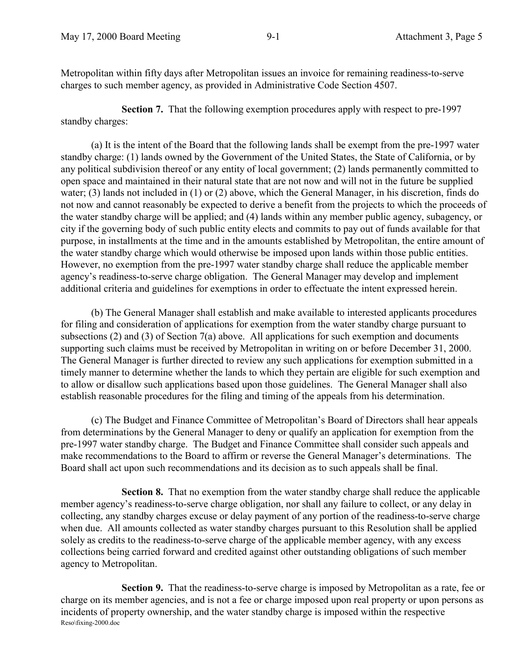Metropolitan within fifty days after Metropolitan issues an invoice for remaining readiness-to-serve charges to such member agency, as provided in Administrative Code Section 4507.

**Section 7.** That the following exemption procedures apply with respect to pre-1997 standby charges:

(a) It is the intent of the Board that the following lands shall be exempt from the pre-1997 water standby charge: (1) lands owned by the Government of the United States, the State of California, or by any political subdivision thereof or any entity of local government; (2) lands permanently committed to open space and maintained in their natural state that are not now and will not in the future be supplied water; (3) lands not included in (1) or (2) above, which the General Manager, in his discretion, finds do not now and cannot reasonably be expected to derive a benefit from the projects to which the proceeds of the water standby charge will be applied; and (4) lands within any member public agency, subagency, or city if the governing body of such public entity elects and commits to pay out of funds available for that purpose, in installments at the time and in the amounts established by Metropolitan, the entire amount of the water standby charge which would otherwise be imposed upon lands within those public entities. However, no exemption from the pre-1997 water standby charge shall reduce the applicable member agency's readiness-to-serve charge obligation. The General Manager may develop and implement additional criteria and guidelines for exemptions in order to effectuate the intent expressed herein.

(b) The General Manager shall establish and make available to interested applicants procedures for filing and consideration of applications for exemption from the water standby charge pursuant to subsections (2) and (3) of Section 7(a) above. All applications for such exemption and documents supporting such claims must be received by Metropolitan in writing on or before December 31, 2000. The General Manager is further directed to review any such applications for exemption submitted in a timely manner to determine whether the lands to which they pertain are eligible for such exemption and to allow or disallow such applications based upon those guidelines. The General Manager shall also establish reasonable procedures for the filing and timing of the appeals from his determination.

(c) The Budget and Finance Committee of Metropolitan's Board of Directors shall hear appeals from determinations by the General Manager to deny or qualify an application for exemption from the pre-1997 water standby charge. The Budget and Finance Committee shall consider such appeals and make recommendations to the Board to affirm or reverse the General Manager's determinations. The Board shall act upon such recommendations and its decision as to such appeals shall be final.

**Section 8.** That no exemption from the water standby charge shall reduce the applicable member agency's readiness-to-serve charge obligation, nor shall any failure to collect, or any delay in collecting, any standby charges excuse or delay payment of any portion of the readiness-to-serve charge when due. All amounts collected as water standby charges pursuant to this Resolution shall be applied solely as credits to the readiness-to-serve charge of the applicable member agency, with any excess collections being carried forward and credited against other outstanding obligations of such member agency to Metropolitan.

Reso\fixing-2000.doc **Section 9.** That the readiness-to-serve charge is imposed by Metropolitan as a rate, fee or charge on its member agencies, and is not a fee or charge imposed upon real property or upon persons as incidents of property ownership, and the water standby charge is imposed within the respective